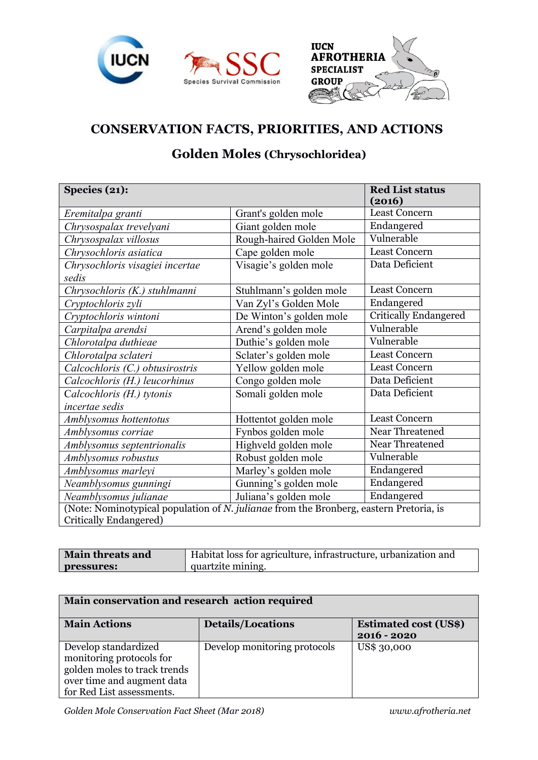



## **CONSERVATION FACTS, PRIORITIES, AND ACTIONS**

## **Golden Moles (Chrysochloridea)**

| Species (21):                                                                                                    |                          | <b>Red List status</b><br>(2016) |  |
|------------------------------------------------------------------------------------------------------------------|--------------------------|----------------------------------|--|
| Eremitalpa granti                                                                                                | Grant's golden mole      | <b>Least Concern</b>             |  |
| Chrysospalax trevelyani                                                                                          | Giant golden mole        | Endangered                       |  |
| Chrysospalax villosus                                                                                            | Rough-haired Golden Mole | Vulnerable                       |  |
| Chrysochloris asiatica                                                                                           | Cape golden mole         | Least Concern                    |  |
| Chrysochloris visagiei incertae                                                                                  | Visagie's golden mole    | Data Deficient                   |  |
| sedis                                                                                                            |                          |                                  |  |
| Chrysochloris (K.) stuhlmanni                                                                                    | Stuhlmann's golden mole  | <b>Least Concern</b>             |  |
| Cryptochloris zyli                                                                                               | Van Zyl's Golden Mole    | Endangered                       |  |
| Cryptochloris wintoni                                                                                            | De Winton's golden mole  | <b>Critically Endangered</b>     |  |
| Carpitalpa arendsi                                                                                               | Arend's golden mole      | Vulnerable                       |  |
| Chlorotalpa duthieae                                                                                             | Duthie's golden mole     | Vulnerable                       |  |
| Chlorotalpa sclateri                                                                                             | Sclater's golden mole    | <b>Least Concern</b>             |  |
| Calcochloris (C.) obtusirostris                                                                                  | Yellow golden mole       | Least Concern                    |  |
| Calcochloris (H.) leucorhinus                                                                                    | Congo golden mole        | Data Deficient                   |  |
| Calcochloris (H.) tytonis                                                                                        | Somali golden mole       | Data Deficient                   |  |
| incertae sedis                                                                                                   |                          |                                  |  |
| Amblysomus hottentotus                                                                                           | Hottentot golden mole    | <b>Least Concern</b>             |  |
| Amblysomus corriae                                                                                               | Fynbos golden mole       | Near Threatened                  |  |
| Amblysomus septentrionalis                                                                                       | Highveld golden mole     | Near Threatened                  |  |
| Amblysomus robustus                                                                                              | Robust golden mole       | Vulnerable                       |  |
| Amblysomus marleyi                                                                                               | Marley's golden mole     | Endangered                       |  |
| Neamblysomus gunningi                                                                                            | Gunning's golden mole    | Endangered                       |  |
| Neamblysomus julianae                                                                                            | Juliana's golden mole    | Endangered                       |  |
| (Note: Nominotypical population of N. julianae from the Bronberg, eastern Pretoria, is<br>Critically Endangered) |                          |                                  |  |

| Main threats and | Habitat loss for agriculture, infrastructure, urbanization and |
|------------------|----------------------------------------------------------------|
| pressures:       | quartzite mining.                                              |

| Main conservation and research action required |                              |                              |  |  |
|------------------------------------------------|------------------------------|------------------------------|--|--|
| <b>Main Actions</b>                            | <b>Details/Locations</b>     | <b>Estimated cost (US\$)</b> |  |  |
|                                                |                              | 2016 - 2020                  |  |  |
| Develop standardized                           | Develop monitoring protocols | US\$ 30,000                  |  |  |
| monitoring protocols for                       |                              |                              |  |  |
| golden moles to track trends                   |                              |                              |  |  |
| over time and augment data                     |                              |                              |  |  |
| for Red List assessments.                      |                              |                              |  |  |